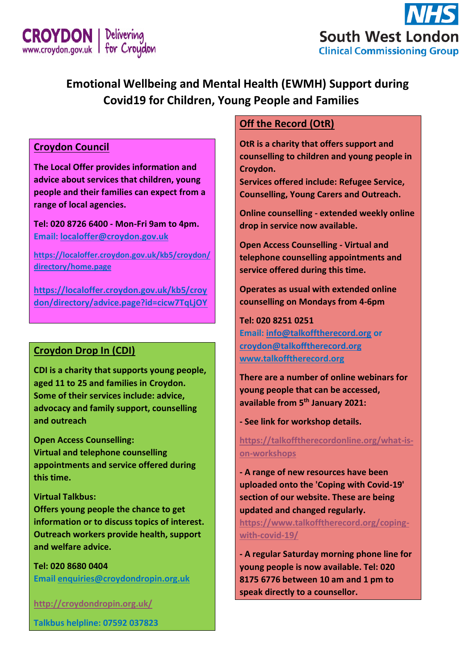



# **Emotional Wellbeing and Mental Health (EWMH) Support during Covid19 for Children, Young People and Families**

## **Croydon Council**

**The Local Offer provides information and advice about services that children, young people and their families can expect from a range of local agencies.** 

**Tel: 020 8726 6400 - Mon-Fri 9am to 4pm. Email: [localoffer@croydon.gov.uk](mailto:localoffer@croydon.gov.uk)**

**[https://localoffer.croydon.gov.uk/kb5/croydon/](https://localoffer.croydon.gov.uk/kb5/croydon/directory/home.page) [directory/home.page](https://localoffer.croydon.gov.uk/kb5/croydon/directory/home.page)**

**[https://localoffer.croydon.gov.uk/kb5/croy](https://localoffer.croydon.gov.uk/kb5/croydon/directory/advice.page?id=cicw7TqLjOY) [don/directory/advice.page?id=cicw7TqLjOY](https://localoffer.croydon.gov.uk/kb5/croydon/directory/advice.page?id=cicw7TqLjOY)**

#### **Croydon Drop In (CDI)**

**CDI is a charity that supports young people, aged 11 to 25 and families in Croydon. Some of their services include: advice, advocacy and family support, counselling and outreach**

**Open Access Counselling: Virtual and telephone counselling appointments and service offered during this time.** 

#### **Virtual Talkbus:**

**Offers young people the chance to get information or to discuss topics of interest. Outreach workers provide health, support and welfare advice.**

**Tel: 020 8680 0404 Email [enquiries@croydondropin.org.uk](mailto:enquiries@croydondropin.org.uk)**

**<http://croydondropin.org.uk/>**

**Talkbus helpline: 07592 037823**

## **Off the Record (OtR)**

**OtR is a charity that offers support and counselling to children and young people in Croydon.**

**Services offered include: Refugee Service, Counselling, Young Carers and Outreach.**

**Online counselling - extended weekly online drop in service now available.** 

**Open Access Counselling - Virtual and telephone counselling appointments and service offered during this time.** 

**Operates as usual with extended online counselling on Mondays from 4-6pm**

#### **Tel: 020 8251 0251**

**Email: [info@talkofftherecord.org](mailto:info@talkofftherecord.org) or [croydon@talkofftherecord.org](mailto:croydon@talkofftherecord.org) [www.talkofftherecord.org](http://www.talkofftherecord.org/)**

**There are a number of online webinars for young people that can be accessed, available from 5 th January 2021:**

**- See link for workshop details.**

**[https://talkofftherecordonline.org/what-is](https://talkofftherecordonline.org/what-is-on-workshops)[on-workshops](https://talkofftherecordonline.org/what-is-on-workshops)**

**- A range of new resources have been uploaded onto the 'Coping with Covid-19' section of our website. These are being updated and changed regularly. [https://www.talkofftherecord.org/coping](https://www.talkofftherecord.org/coping-with-covid-19/)[with-covid-19/](https://www.talkofftherecord.org/coping-with-covid-19/)**

**- A regular Saturday morning phone line for young people is now available. Tel: 020 8175 6776 between 10 am and 1 pm to speak directly to a counsellor.**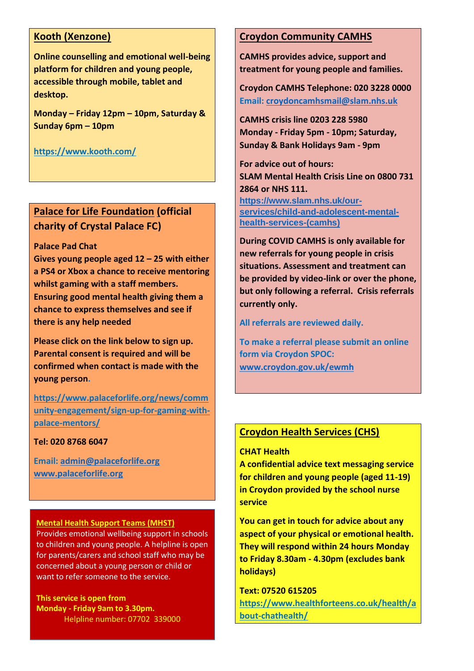## **Kooth (Xenzone)**

**Online counselling and emotional well-being platform for children and young people, accessible through mobile, tablet and desktop.**

**Monday – Friday 12pm – 10pm, Saturday & Sunday 6pm – 10pm**

**<https://www.kooth.com/>**

# **Palace for Life Foundation (official charity of Crystal Palace FC)**

#### **Palace Pad Chat**

**Gives young people aged 12 – 25 with either a PS4 or Xbox a chance to receive mentoring whilst gaming with a staff members. Ensuring good mental health giving them a chance to express themselves and see if there is any help needed**

**Please click on the link below to sign up. Parental consent is required and will be confirmed when contact is made with the young person.** 

**[https://www.palaceforlife.org/news/comm](https://www.palaceforlife.org/news/community-engagement/sign-up-for-gaming-with-palace-mentors/) [unity-engagement/sign-up-for-gaming-with](https://www.palaceforlife.org/news/community-engagement/sign-up-for-gaming-with-palace-mentors/)[palace-mentors/](https://www.palaceforlife.org/news/community-engagement/sign-up-for-gaming-with-palace-mentors/)**

#### **Tel: 020 8768 6047**

**Email: [admin@palaceforlife.org](mailto:admin@palaceforlife.org)  [www.palaceforlife.org](http://www.palaceforlife.org/)**

#### **Mental Health Support Teams (MHST)**

Provides emotional wellbeing support in schools to children and young people. A helpline is open for parents/carers and school staff who may be concerned about a young person or child or want to refer someone to the service.

**This service is open from Monday - Friday 9am to 3.30pm.**  Helpline number: 07702 339000

#### **Croydon Community CAMHS**

**CAMHS provides advice, support and treatment for young people and families.** 

**Croydon CAMHS Telephone: 020 3228 0000 Email: [croydoncamhsmail@slam.nhs.uk](mailto:croydoncamhsmail@slam.nhs.uk)**

**CAMHS crisis line 0203 228 5980 Monday - Friday 5pm - 10pm; Saturday, Sunday & Bank Holidays 9am - 9pm**

**For advice out of hours: SLAM Mental Health Crisis Line on 0800 731 2864 or NHS 111. [https://www.slam.nhs.uk/our-](https://www.slam.nhs.uk/our-services/child-and-adolescent-mental-health-services-(camhs))**

**[services/child-and-adolescent-mental](https://www.slam.nhs.uk/our-services/child-and-adolescent-mental-health-services-(camhs))[health-services-\(camhs\)](https://www.slam.nhs.uk/our-services/child-and-adolescent-mental-health-services-(camhs))**

**During COVID CAMHS is only available for new referrals for young people in crisis situations. Assessment and treatment can be provided by video-link or over the phone, but only following a referral. Crisis referrals currently only.** 

**All referrals are reviewed daily.** 

**To make a referral please submit an online form via Croydon SPOC: [www.croydon.gov.uk/ewmh](http://www.croydon.gov.uk/ewmh)**

## **Croydon Health Services (CHS)**

#### **CHAT Health**

**A confidential advice text messaging service for children and young people (aged 11-19) in Croydon provided by the school nurse service**

**You can get in touch for advice about any aspect of your physical or emotional health. They will respond within 24 hours Monday to Friday 8.30am - 4.30pm (excludes bank holidays)**

**Text: 07520 615205 [https://www.healthforteens.co.uk/health/a](https://www.healthforteens.co.uk/health/about-chathealth/) [bout-chathealth/](https://www.healthforteens.co.uk/health/about-chathealth/)**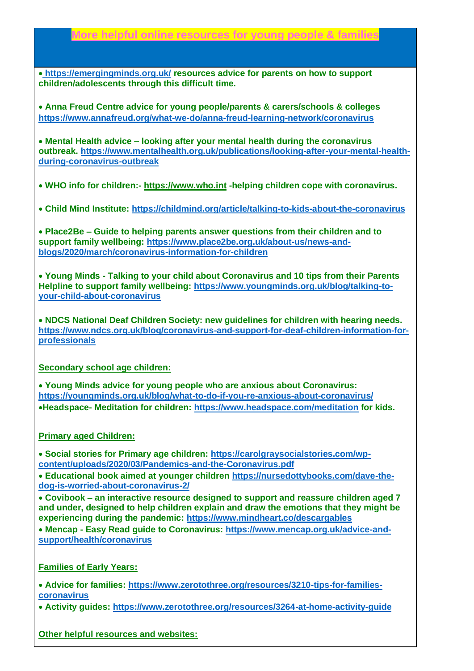# **More helpful online resources for young people & families**

• **<https://emergingminds.org.uk/> resources advice for parents on how to support children/adolescents through this difficult time.**

• **Anna Freud Centre advice for young people/parents & carers/schools & colleges <https://www.annafreud.org/what-we-do/anna-freud-learning-network/coronavirus>**

• **Mental Health advice – looking after your mental health during the coronavirus outbreak. [https://www.mentalhealth.org.uk/publications/looking-after-your-mental-health](https://www.mentalhealth.org.uk/publications/looking-after-your-mental-health-during-coronavirus-outbreak)[during-coronavirus-outbreak](https://www.mentalhealth.org.uk/publications/looking-after-your-mental-health-during-coronavirus-outbreak)**

• **WHO info for children:- [https://www.who.int](https://www.who.int/) -helping children cope with coronavirus.** 

• **Child Mind Institute:<https://childmind.org/article/talking-to-kids-about-the-coronavirus>**

• **Place2Be – Guide to helping parents answer questions from their children and to support family wellbeing: [https://www.place2be.org.uk/about-us/news-and](https://www.place2be.org.uk/about-us/news-and-blogs/2020/march/coronavirus-information-for-children)[blogs/2020/march/coronavirus-information-for-children](https://www.place2be.org.uk/about-us/news-and-blogs/2020/march/coronavirus-information-for-children)**

• **Young Minds - Talking to your child about Coronavirus and 10 tips from their Parents Helpline to support family wellbeing: [https://www.youngminds.org.uk/blog/talking-to](https://www.youngminds.org.uk/blog/talking-to-your-child-about-coronavirus)[your-child-about-coronavirus](https://www.youngminds.org.uk/blog/talking-to-your-child-about-coronavirus)**

• **NDCS National Deaf Children Society: new guidelines for children with hearing needs. [https://www.ndcs.org.uk/blog/coronavirus-and-support-for-deaf-children-information-for](https://www.ndcs.org.uk/blog/coronavirus-and-support-for-deaf-children-information-for-professionals)[professionals](https://www.ndcs.org.uk/blog/coronavirus-and-support-for-deaf-children-information-for-professionals)**

#### **Secondary school age children:**

• **Young Minds advice for young people who are anxious about Coronavirus: <https://youngminds.org.uk/blog/what-to-do-if-you-re-anxious-about-coronavirus/>** •**Headspace- Meditation for children:<https://www.headspace.com/meditation> for kids.** 

#### **Primary aged Children:**

• **Social stories for Primary age children: [https://carolgraysocialstories.com/wp](https://carolgraysocialstories.com/wp-content/uploads/2020/03/Pandemics-and-the-Coronavirus.pdf)[content/uploads/2020/03/Pandemics-and-the-Coronavirus.pdf](https://carolgraysocialstories.com/wp-content/uploads/2020/03/Pandemics-and-the-Coronavirus.pdf)**

• **Educational book aimed at younger children [https://nursedottybooks.com/dave-the](https://nursedottybooks.com/dave-the-dog-is-worried-about-coronavirus-2/)[dog-is-worried-about-coronavirus-2/](https://nursedottybooks.com/dave-the-dog-is-worried-about-coronavirus-2/)**

• **Covibook – an interactive resource designed to support and reassure children aged 7 and under, designed to help children explain and draw the emotions that they might be experiencing during the pandemic:<https://www.mindheart.co/descargables>**

• **Mencap - Easy Read guide to Coronavirus: [https://www.mencap.org.uk/advice-and](https://www.mencap.org.uk/advice-and-support/health/coronavirus)[support/health/coronavirus](https://www.mencap.org.uk/advice-and-support/health/coronavirus)**

**Families of Early Years:** 

• **Advice for families: [https://www.zerotothree.org/resources/3210-tips-for-families](https://www.zerotothree.org/resources/3210-tips-for-families-coronavirus)[coronavirus](https://www.zerotothree.org/resources/3210-tips-for-families-coronavirus)**

• **Activity guides:<https://www.zerotothree.org/resources/3264-at-home-activity-guide>**

**Other helpful resources and websites:**